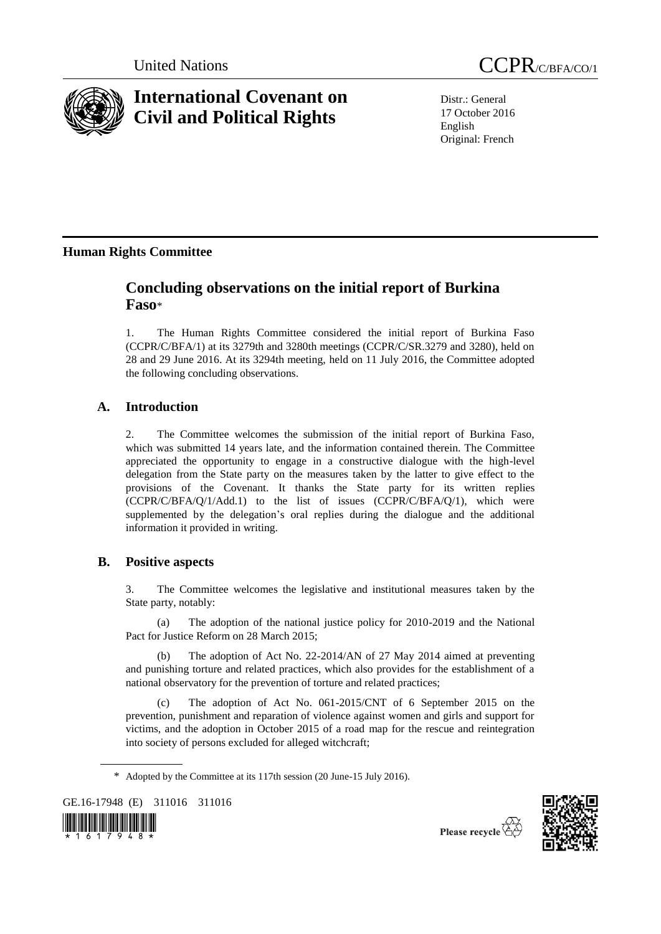

# **International Covenant on Civil and Political Rights**

Distr.: General 17 October 2016 English Original: French

# **Human Rights Committee**

# **Concluding observations on the initial report of Burkina Faso**\*

1. The Human Rights Committee considered the initial report of Burkina Faso (CCPR/C/BFA/1) at its 3279th and 3280th meetings (CCPR/C/SR.3279 and 3280), held on 28 and 29 June 2016. At its 3294th meeting, held on 11 July 2016, the Committee adopted the following concluding observations.

# **A. Introduction**

2. The Committee welcomes the submission of the initial report of Burkina Faso, which was submitted 14 years late, and the information contained therein. The Committee appreciated the opportunity to engage in a constructive dialogue with the high-level delegation from the State party on the measures taken by the latter to give effect to the provisions of the Covenant. It thanks the State party for its written replies (CCPR/C/BFA/Q/1/Add.1) to the list of issues (CCPR/C/BFA/Q/1), which were supplemented by the delegation's oral replies during the dialogue and the additional information it provided in writing.

# **B. Positive aspects**

3. The Committee welcomes the legislative and institutional measures taken by the State party, notably:

(a) The adoption of the national justice policy for 2010-2019 and the National Pact for Justice Reform on 28 March 2015;

(b) The adoption of Act No. 22-2014/AN of 27 May 2014 aimed at preventing and punishing torture and related practices, which also provides for the establishment of a national observatory for the prevention of torture and related practices;

(c) The adoption of Act No. 061-2015/CNT of 6 September 2015 on the prevention, punishment and reparation of violence against women and girls and support for victims, and the adoption in October 2015 of a road map for the rescue and reintegration into society of persons excluded for alleged witchcraft;

GE.16-17948 (E) 311016 311016





<sup>\*</sup> Adopted by the Committee at its 117th session (20 June-15 July 2016).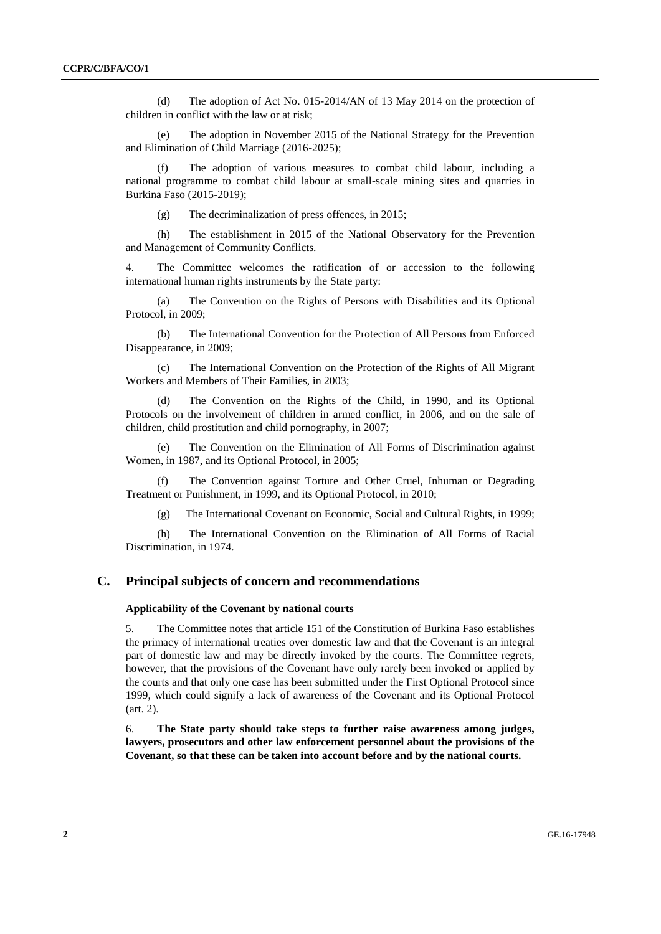(d) The adoption of Act No. 015-2014/AN of 13 May 2014 on the protection of children in conflict with the law or at risk;

(e) The adoption in November 2015 of the National Strategy for the Prevention and Elimination of Child Marriage (2016-2025);

The adoption of various measures to combat child labour, including a national programme to combat child labour at small-scale mining sites and quarries in Burkina Faso (2015-2019);

(g) The decriminalization of press offences, in 2015;

(h) The establishment in 2015 of the National Observatory for the Prevention and Management of Community Conflicts.

4. The Committee welcomes the ratification of or accession to the following international human rights instruments by the State party:

(a) The Convention on the Rights of Persons with Disabilities and its Optional Protocol, in 2009;

(b) The International Convention for the Protection of All Persons from Enforced Disappearance, in 2009;

(c) The International Convention on the Protection of the Rights of All Migrant Workers and Members of Their Families, in 2003;

(d) The Convention on the Rights of the Child, in 1990, and its Optional Protocols on the involvement of children in armed conflict, in 2006, and on the sale of children, child prostitution and child pornography, in 2007;

The Convention on the Elimination of All Forms of Discrimination against Women, in 1987, and its Optional Protocol, in 2005;

(f) The Convention against Torture and Other Cruel, Inhuman or Degrading Treatment or Punishment, in 1999, and its Optional Protocol, in 2010;

(g) The International Covenant on Economic, Social and Cultural Rights, in 1999;

(h) The International Convention on the Elimination of All Forms of Racial Discrimination, in 1974.

# **C. Principal subjects of concern and recommendations**

#### **Applicability of the Covenant by national courts**

5. The Committee notes that article 151 of the Constitution of Burkina Faso establishes the primacy of international treaties over domestic law and that the Covenant is an integral part of domestic law and may be directly invoked by the courts. The Committee regrets, however, that the provisions of the Covenant have only rarely been invoked or applied by the courts and that only one case has been submitted under the First Optional Protocol since 1999, which could signify a lack of awareness of the Covenant and its Optional Protocol (art. 2).

6. **The State party should take steps to further raise awareness among judges, lawyers, prosecutors and other law enforcement personnel about the provisions of the Covenant, so that these can be taken into account before and by the national courts.**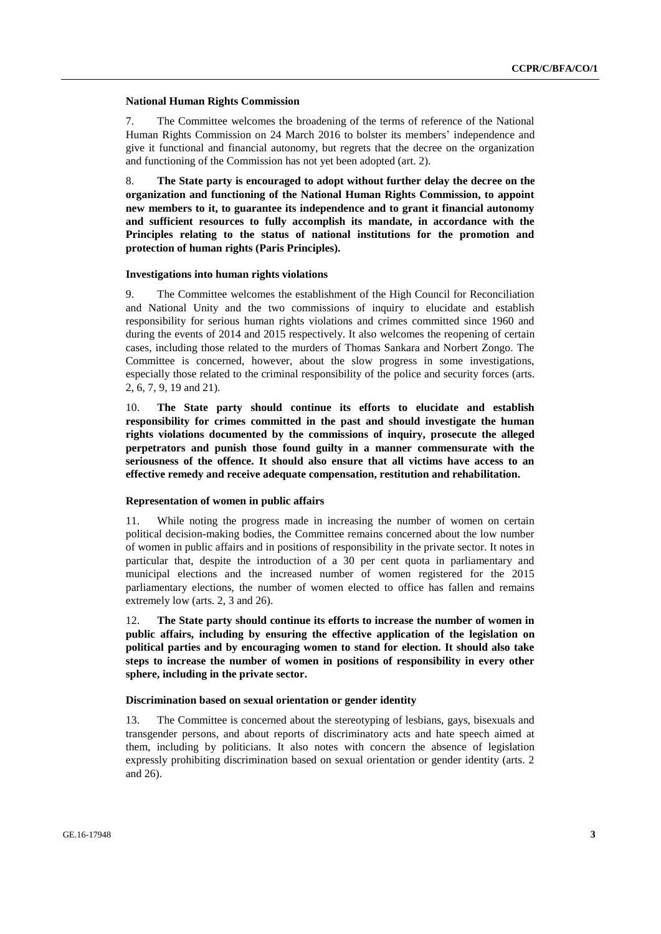#### **National Human Rights Commission**

7. The Committee welcomes the broadening of the terms of reference of the National Human Rights Commission on 24 March 2016 to bolster its members' independence and give it functional and financial autonomy, but regrets that the decree on the organization and functioning of the Commission has not yet been adopted (art. 2).

8. **The State party is encouraged to adopt without further delay the decree on the organization and functioning of the National Human Rights Commission, to appoint new members to it, to guarantee its independence and to grant it financial autonomy and sufficient resources to fully accomplish its mandate, in accordance with the Principles relating to the status of national institutions for the promotion and protection of human rights (Paris Principles).**

#### **Investigations into human rights violations**

9. The Committee welcomes the establishment of the High Council for Reconciliation and National Unity and the two commissions of inquiry to elucidate and establish responsibility for serious human rights violations and crimes committed since 1960 and during the events of 2014 and 2015 respectively. It also welcomes the reopening of certain cases, including those related to the murders of Thomas Sankara and Norbert Zongo. The Committee is concerned, however, about the slow progress in some investigations, especially those related to the criminal responsibility of the police and security forces (arts. 2, 6, 7, 9, 19 and 21).

10. **The State party should continue its efforts to elucidate and establish responsibility for crimes committed in the past and should investigate the human rights violations documented by the commissions of inquiry, prosecute the alleged perpetrators and punish those found guilty in a manner commensurate with the seriousness of the offence. It should also ensure that all victims have access to an effective remedy and receive adequate compensation, restitution and rehabilitation.**

#### **Representation of women in public affairs**

11. While noting the progress made in increasing the number of women on certain political decision-making bodies, the Committee remains concerned about the low number of women in public affairs and in positions of responsibility in the private sector. It notes in particular that, despite the introduction of a 30 per cent quota in parliamentary and municipal elections and the increased number of women registered for the 2015 parliamentary elections, the number of women elected to office has fallen and remains extremely low (arts. 2, 3 and 26).

12. **The State party should continue its efforts to increase the number of women in public affairs, including by ensuring the effective application of the legislation on political parties and by encouraging women to stand for election. It should also take steps to increase the number of women in positions of responsibility in every other sphere, including in the private sector.**

#### **Discrimination based on sexual orientation or gender identity**

13. The Committee is concerned about the stereotyping of lesbians, gays, bisexuals and transgender persons, and about reports of discriminatory acts and hate speech aimed at them, including by politicians. It also notes with concern the absence of legislation expressly prohibiting discrimination based on sexual orientation or gender identity (arts. 2 and 26).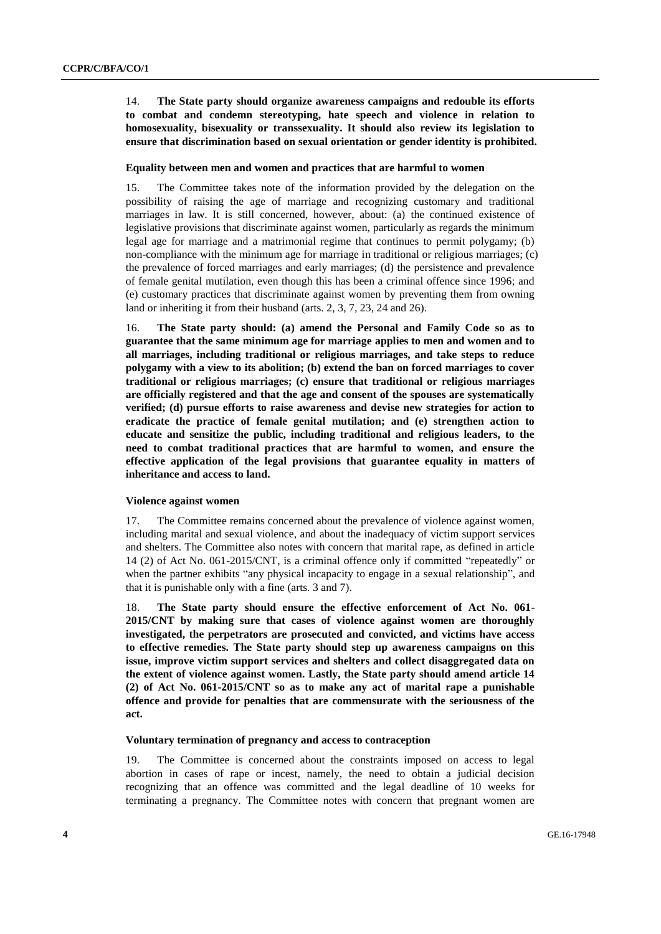14. **The State party should organize awareness campaigns and redouble its efforts to combat and condemn stereotyping, hate speech and violence in relation to homosexuality, bisexuality or transsexuality. It should also review its legislation to ensure that discrimination based on sexual orientation or gender identity is prohibited.** 

#### **Equality between men and women and practices that are harmful to women**

15. The Committee takes note of the information provided by the delegation on the possibility of raising the age of marriage and recognizing customary and traditional marriages in law. It is still concerned, however, about: (a) the continued existence of legislative provisions that discriminate against women, particularly as regards the minimum legal age for marriage and a matrimonial regime that continues to permit polygamy; (b) non-compliance with the minimum age for marriage in traditional or religious marriages; (c) the prevalence of forced marriages and early marriages; (d) the persistence and prevalence of female genital mutilation, even though this has been a criminal offence since 1996; and (e) customary practices that discriminate against women by preventing them from owning land or inheriting it from their husband (arts. 2, 3, 7, 23, 24 and 26).

16. **The State party should: (a) amend the Personal and Family Code so as to guarantee that the same minimum age for marriage applies to men and women and to all marriages, including traditional or religious marriages, and take steps to reduce polygamy with a view to its abolition; (b) extend the ban on forced marriages to cover traditional or religious marriages; (c) ensure that traditional or religious marriages are officially registered and that the age and consent of the spouses are systematically verified; (d) pursue efforts to raise awareness and devise new strategies for action to eradicate the practice of female genital mutilation; and (e) strengthen action to educate and sensitize the public, including traditional and religious leaders, to the need to combat traditional practices that are harmful to women, and ensure the effective application of the legal provisions that guarantee equality in matters of inheritance and access to land.**

#### **Violence against women**

17. The Committee remains concerned about the prevalence of violence against women, including marital and sexual violence, and about the inadequacy of victim support services and shelters. The Committee also notes with concern that marital rape, as defined in article 14 (2) of Act No. 061-2015/CNT, is a criminal offence only if committed "repeatedly" or when the partner exhibits "any physical incapacity to engage in a sexual relationship", and that it is punishable only with a fine (arts. 3 and 7).

18. **The State party should ensure the effective enforcement of Act No. 061- 2015/CNT by making sure that cases of violence against women are thoroughly investigated, the perpetrators are prosecuted and convicted, and victims have access to effective remedies. The State party should step up awareness campaigns on this issue, improve victim support services and shelters and collect disaggregated data on the extent of violence against women. Lastly, the State party should amend article 14 (2) of Act No. 061-2015/CNT so as to make any act of marital rape a punishable offence and provide for penalties that are commensurate with the seriousness of the act.** 

#### **Voluntary termination of pregnancy and access to contraception**

19. The Committee is concerned about the constraints imposed on access to legal abortion in cases of rape or incest, namely, the need to obtain a judicial decision recognizing that an offence was committed and the legal deadline of 10 weeks for terminating a pregnancy. The Committee notes with concern that pregnant women are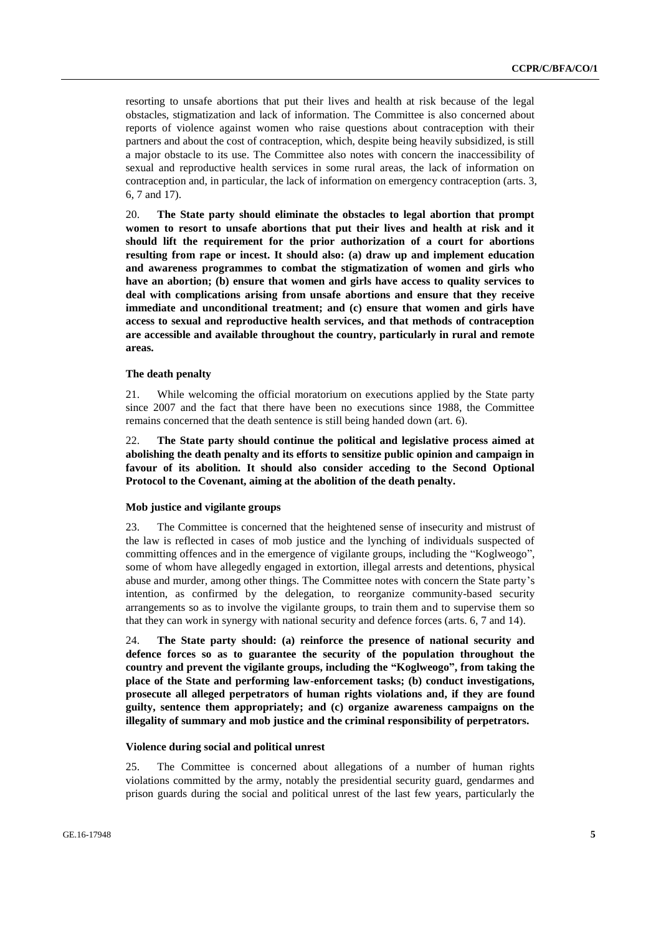resorting to unsafe abortions that put their lives and health at risk because of the legal obstacles, stigmatization and lack of information. The Committee is also concerned about reports of violence against women who raise questions about contraception with their partners and about the cost of contraception, which, despite being heavily subsidized, is still a major obstacle to its use. The Committee also notes with concern the inaccessibility of sexual and reproductive health services in some rural areas, the lack of information on contraception and, in particular, the lack of information on emergency contraception (arts. 3, 6, 7 and 17).

20. **The State party should eliminate the obstacles to legal abortion that prompt women to resort to unsafe abortions that put their lives and health at risk and it should lift the requirement for the prior authorization of a court for abortions resulting from rape or incest. It should also: (a) draw up and implement education and awareness programmes to combat the stigmatization of women and girls who have an abortion; (b) ensure that women and girls have access to quality services to deal with complications arising from unsafe abortions and ensure that they receive immediate and unconditional treatment; and (c) ensure that women and girls have access to sexual and reproductive health services, and that methods of contraception are accessible and available throughout the country, particularly in rural and remote areas.**

#### **The death penalty**

21. While welcoming the official moratorium on executions applied by the State party since 2007 and the fact that there have been no executions since 1988, the Committee remains concerned that the death sentence is still being handed down (art. 6).

22. **The State party should continue the political and legislative process aimed at abolishing the death penalty and its efforts to sensitize public opinion and campaign in favour of its abolition. It should also consider acceding to the Second Optional Protocol to the Covenant, aiming at the abolition of the death penalty.** 

#### **Mob justice and vigilante groups**

23. The Committee is concerned that the heightened sense of insecurity and mistrust of the law is reflected in cases of mob justice and the lynching of individuals suspected of committing offences and in the emergence of vigilante groups, including the "Koglweogo", some of whom have allegedly engaged in extortion, illegal arrests and detentions, physical abuse and murder, among other things. The Committee notes with concern the State party's intention, as confirmed by the delegation, to reorganize community-based security arrangements so as to involve the vigilante groups, to train them and to supervise them so that they can work in synergy with national security and defence forces (arts. 6, 7 and 14).

24. **The State party should: (a) reinforce the presence of national security and defence forces so as to guarantee the security of the population throughout the country and prevent the vigilante groups, including the "Koglweogo", from taking the place of the State and performing law-enforcement tasks; (b) conduct investigations, prosecute all alleged perpetrators of human rights violations and, if they are found guilty, sentence them appropriately; and (c) organize awareness campaigns on the illegality of summary and mob justice and the criminal responsibility of perpetrators.**

### **Violence during social and political unrest**

25. The Committee is concerned about allegations of a number of human rights violations committed by the army, notably the presidential security guard, gendarmes and prison guards during the social and political unrest of the last few years, particularly the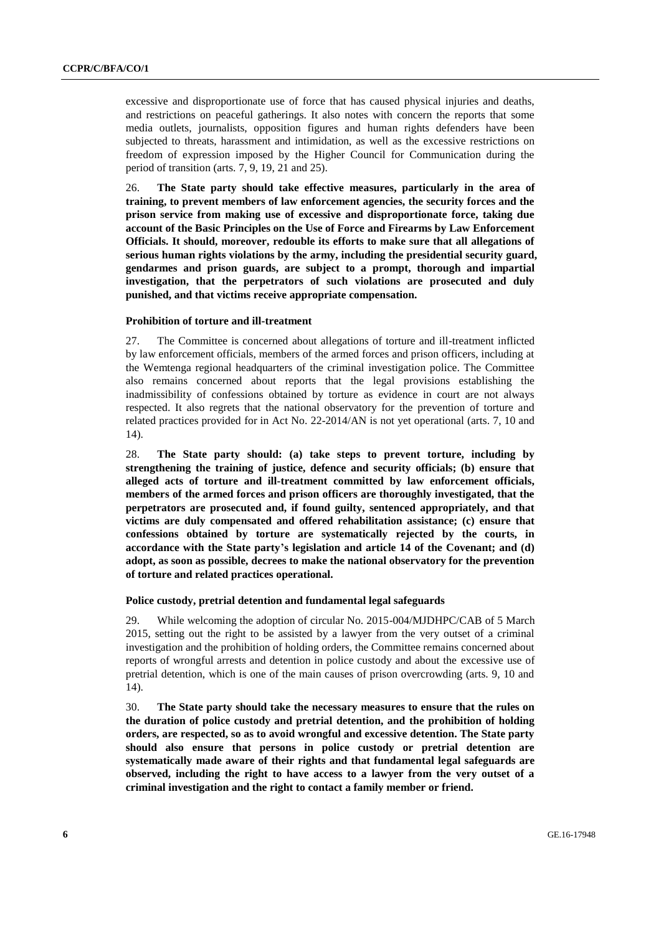excessive and disproportionate use of force that has caused physical injuries and deaths, and restrictions on peaceful gatherings. It also notes with concern the reports that some media outlets, journalists, opposition figures and human rights defenders have been subjected to threats, harassment and intimidation, as well as the excessive restrictions on freedom of expression imposed by the Higher Council for Communication during the period of transition (arts. 7, 9, 19, 21 and 25).

26. **The State party should take effective measures, particularly in the area of training, to prevent members of law enforcement agencies, the security forces and the prison service from making use of excessive and disproportionate force, taking due account of the Basic Principles on the Use of Force and Firearms by Law Enforcement Officials. It should, moreover, redouble its efforts to make sure that all allegations of serious human rights violations by the army, including the presidential security guard, gendarmes and prison guards, are subject to a prompt, thorough and impartial investigation, that the perpetrators of such violations are prosecuted and duly punished, and that victims receive appropriate compensation.** 

### **Prohibition of torture and ill-treatment**

27. The Committee is concerned about allegations of torture and ill-treatment inflicted by law enforcement officials, members of the armed forces and prison officers, including at the Wemtenga regional headquarters of the criminal investigation police. The Committee also remains concerned about reports that the legal provisions establishing the inadmissibility of confessions obtained by torture as evidence in court are not always respected. It also regrets that the national observatory for the prevention of torture and related practices provided for in Act No. 22-2014/AN is not yet operational (arts. 7, 10 and 14).

28. **The State party should: (a) take steps to prevent torture, including by strengthening the training of justice, defence and security officials; (b) ensure that alleged acts of torture and ill-treatment committed by law enforcement officials, members of the armed forces and prison officers are thoroughly investigated, that the perpetrators are prosecuted and, if found guilty, sentenced appropriately, and that victims are duly compensated and offered rehabilitation assistance; (c) ensure that confessions obtained by torture are systematically rejected by the courts, in accordance with the State party's legislation and article 14 of the Covenant; and (d) adopt, as soon as possible, decrees to make the national observatory for the prevention of torture and related practices operational.** 

#### **Police custody, pretrial detention and fundamental legal safeguards**

29. While welcoming the adoption of circular No. 2015-004/MJDHPC/CAB of 5 March 2015, setting out the right to be assisted by a lawyer from the very outset of a criminal investigation and the prohibition of holding orders, the Committee remains concerned about reports of wrongful arrests and detention in police custody and about the excessive use of pretrial detention, which is one of the main causes of prison overcrowding (arts. 9, 10 and 14).

30. **The State party should take the necessary measures to ensure that the rules on the duration of police custody and pretrial detention, and the prohibition of holding orders, are respected, so as to avoid wrongful and excessive detention. The State party should also ensure that persons in police custody or pretrial detention are systematically made aware of their rights and that fundamental legal safeguards are observed, including the right to have access to a lawyer from the very outset of a criminal investigation and the right to contact a family member or friend.**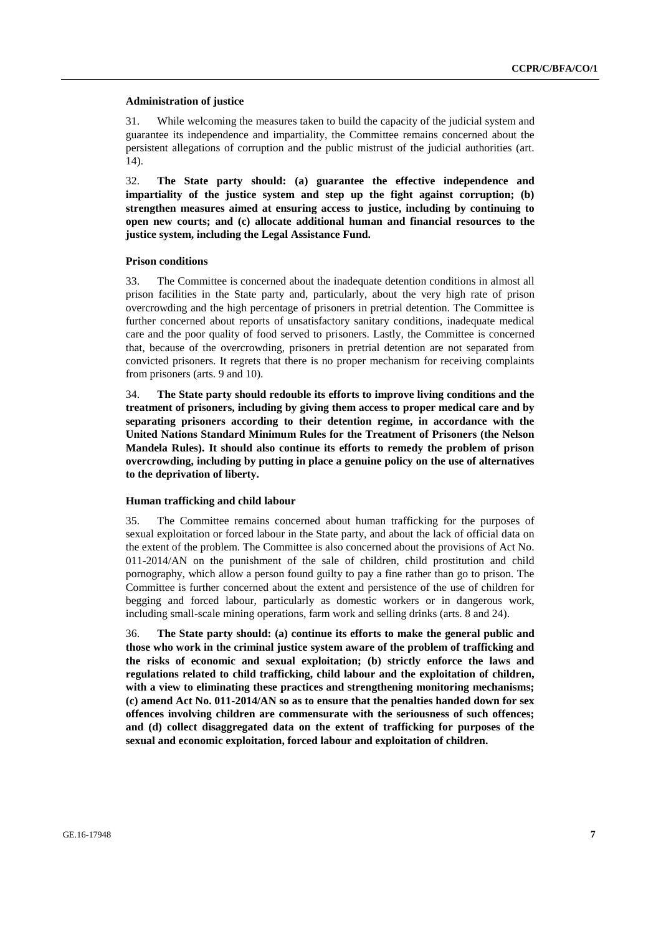#### **Administration of justice**

31. While welcoming the measures taken to build the capacity of the judicial system and guarantee its independence and impartiality, the Committee remains concerned about the persistent allegations of corruption and the public mistrust of the judicial authorities (art. 14).

32. **The State party should: (a) guarantee the effective independence and impartiality of the justice system and step up the fight against corruption; (b) strengthen measures aimed at ensuring access to justice, including by continuing to open new courts; and (c) allocate additional human and financial resources to the justice system, including the Legal Assistance Fund.**

#### **Prison conditions**

33. The Committee is concerned about the inadequate detention conditions in almost all prison facilities in the State party and, particularly, about the very high rate of prison overcrowding and the high percentage of prisoners in pretrial detention. The Committee is further concerned about reports of unsatisfactory sanitary conditions, inadequate medical care and the poor quality of food served to prisoners. Lastly, the Committee is concerned that, because of the overcrowding, prisoners in pretrial detention are not separated from convicted prisoners. It regrets that there is no proper mechanism for receiving complaints from prisoners (arts. 9 and 10).

34. **The State party should redouble its efforts to improve living conditions and the treatment of prisoners, including by giving them access to proper medical care and by separating prisoners according to their detention regime, in accordance with the United Nations Standard Minimum Rules for the Treatment of Prisoners (the Nelson Mandela Rules). It should also continue its efforts to remedy the problem of prison overcrowding, including by putting in place a genuine policy on the use of alternatives to the deprivation of liberty.** 

#### **Human trafficking and child labour**

35. The Committee remains concerned about human trafficking for the purposes of sexual exploitation or forced labour in the State party, and about the lack of official data on the extent of the problem. The Committee is also concerned about the provisions of Act No. 011-2014/AN on the punishment of the sale of children, child prostitution and child pornography, which allow a person found guilty to pay a fine rather than go to prison. The Committee is further concerned about the extent and persistence of the use of children for begging and forced labour, particularly as domestic workers or in dangerous work, including small-scale mining operations, farm work and selling drinks (arts. 8 and 24).

36. **The State party should: (a) continue its efforts to make the general public and those who work in the criminal justice system aware of the problem of trafficking and the risks of economic and sexual exploitation; (b) strictly enforce the laws and regulations related to child trafficking, child labour and the exploitation of children, with a view to eliminating these practices and strengthening monitoring mechanisms; (c) amend Act No. 011-2014/AN so as to ensure that the penalties handed down for sex offences involving children are commensurate with the seriousness of such offences; and (d) collect disaggregated data on the extent of trafficking for purposes of the sexual and economic exploitation, forced labour and exploitation of children.**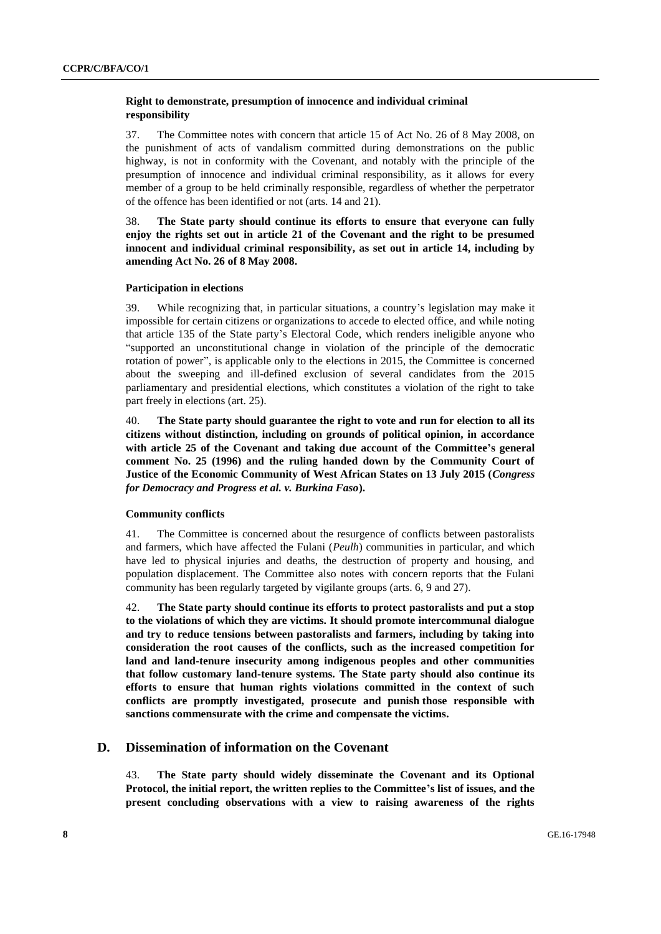### **Right to demonstrate, presumption of innocence and individual criminal responsibility**

37. The Committee notes with concern that article 15 of Act No. 26 of 8 May 2008, on the punishment of acts of vandalism committed during demonstrations on the public highway, is not in conformity with the Covenant, and notably with the principle of the presumption of innocence and individual criminal responsibility, as it allows for every member of a group to be held criminally responsible, regardless of whether the perpetrator of the offence has been identified or not (arts. 14 and 21).

38. **The State party should continue its efforts to ensure that everyone can fully enjoy the rights set out in article 21 of the Covenant and the right to be presumed innocent and individual criminal responsibility, as set out in article 14, including by amending Act No. 26 of 8 May 2008.** 

### **Participation in elections**

39. While recognizing that, in particular situations, a country's legislation may make it impossible for certain citizens or organizations to accede to elected office, and while noting that article 135 of the State party's Electoral Code, which renders ineligible anyone who "supported an unconstitutional change in violation of the principle of the democratic rotation of power", is applicable only to the elections in 2015, the Committee is concerned about the sweeping and ill-defined exclusion of several candidates from the 2015 parliamentary and presidential elections, which constitutes a violation of the right to take part freely in elections (art. 25).

40. **The State party should guarantee the right to vote and run for election to all its citizens without distinction, including on grounds of political opinion, in accordance with article 25 of the Covenant and taking due account of the Committee's general comment No. 25 (1996) and the ruling handed down by the Community Court of Justice of the Economic Community of West African States on 13 July 2015 (***Congress for Democracy and Progress et al. v. Burkina Faso***).**

#### **Community conflicts**

41. The Committee is concerned about the resurgence of conflicts between pastoralists and farmers, which have affected the Fulani (*Peulh*) communities in particular, and which have led to physical injuries and deaths, the destruction of property and housing, and population displacement. The Committee also notes with concern reports that the Fulani community has been regularly targeted by vigilante groups (arts. 6, 9 and 27).

42. **The State party should continue its efforts to protect pastoralists and put a stop to the violations of which they are victims. It should promote intercommunal dialogue and try to reduce tensions between pastoralists and farmers, including by taking into consideration the root causes of the conflicts, such as the increased competition for land and land-tenure insecurity among indigenous peoples and other communities that follow customary land-tenure systems. The State party should also continue its efforts to ensure that human rights violations committed in the context of such conflicts are promptly investigated, prosecute and punish those responsible with sanctions commensurate with the crime and compensate the victims.**

## **D. Dissemination of information on the Covenant**

43. **The State party should widely disseminate the Covenant and its Optional Protocol, the initial report, the written replies to the Committee's list of issues, and the present concluding observations with a view to raising awareness of the rights**